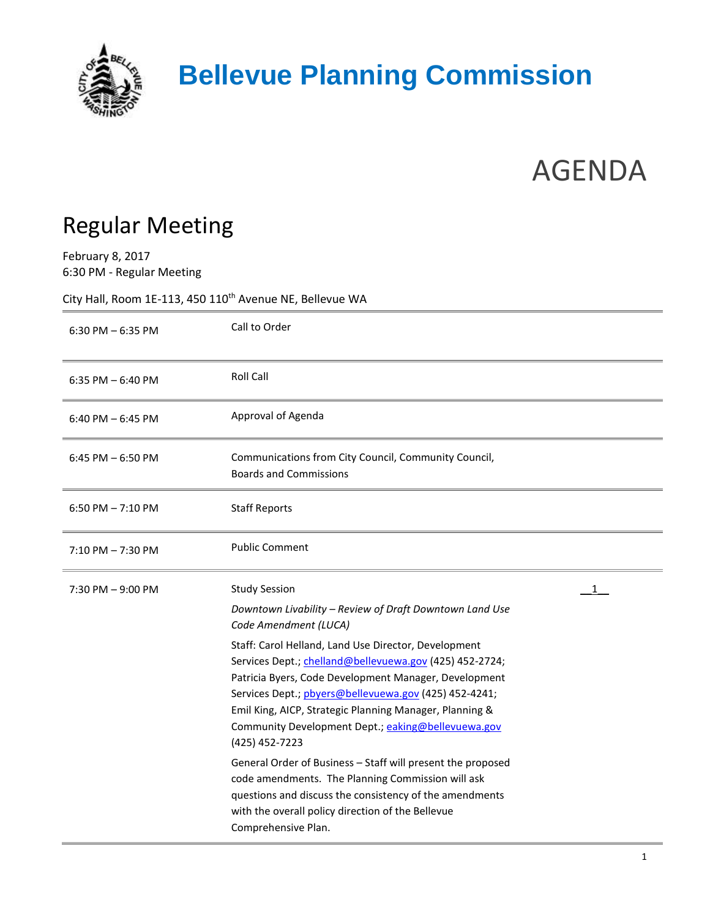

## **Bellevue Planning Commission**

## AGENDA

## Regular Meeting

February 8, 2017 6:30 PM - Regular Meeting

City Hall, Room 1E-113, 450  $110^{th}$  Avenue NE, Bellevue WA

| $6:30$ PM $-6:35$ PM | Call to Order                                                                                                                                                                                                                                                                                                                                                                                                                                                                                                                                                                                                                                                                                                                                    |
|----------------------|--------------------------------------------------------------------------------------------------------------------------------------------------------------------------------------------------------------------------------------------------------------------------------------------------------------------------------------------------------------------------------------------------------------------------------------------------------------------------------------------------------------------------------------------------------------------------------------------------------------------------------------------------------------------------------------------------------------------------------------------------|
| 6:35 PM $-$ 6:40 PM  | <b>Roll Call</b>                                                                                                                                                                                                                                                                                                                                                                                                                                                                                                                                                                                                                                                                                                                                 |
| 6:40 PM $-$ 6:45 PM  | Approval of Agenda                                                                                                                                                                                                                                                                                                                                                                                                                                                                                                                                                                                                                                                                                                                               |
| $6:45$ PM $-6:50$ PM | Communications from City Council, Community Council,<br><b>Boards and Commissions</b>                                                                                                                                                                                                                                                                                                                                                                                                                                                                                                                                                                                                                                                            |
| 6:50 PM $-7:10$ PM   | <b>Staff Reports</b>                                                                                                                                                                                                                                                                                                                                                                                                                                                                                                                                                                                                                                                                                                                             |
| $7:10$ PM $-7:30$ PM | <b>Public Comment</b>                                                                                                                                                                                                                                                                                                                                                                                                                                                                                                                                                                                                                                                                                                                            |
| 7:30 PM - 9:00 PM    | <b>Study Session</b><br>1<br>Downtown Livability - Review of Draft Downtown Land Use<br>Code Amendment (LUCA)<br>Staff: Carol Helland, Land Use Director, Development<br>Services Dept.; chelland@bellevuewa.gov (425) 452-2724;<br>Patricia Byers, Code Development Manager, Development<br>Services Dept.; pbyers@bellevuewa.gov (425) 452-4241;<br>Emil King, AICP, Strategic Planning Manager, Planning &<br>Community Development Dept.; eaking@bellevuewa.gov<br>(425) 452-7223<br>General Order of Business - Staff will present the proposed<br>code amendments. The Planning Commission will ask<br>questions and discuss the consistency of the amendments<br>with the overall policy direction of the Bellevue<br>Comprehensive Plan. |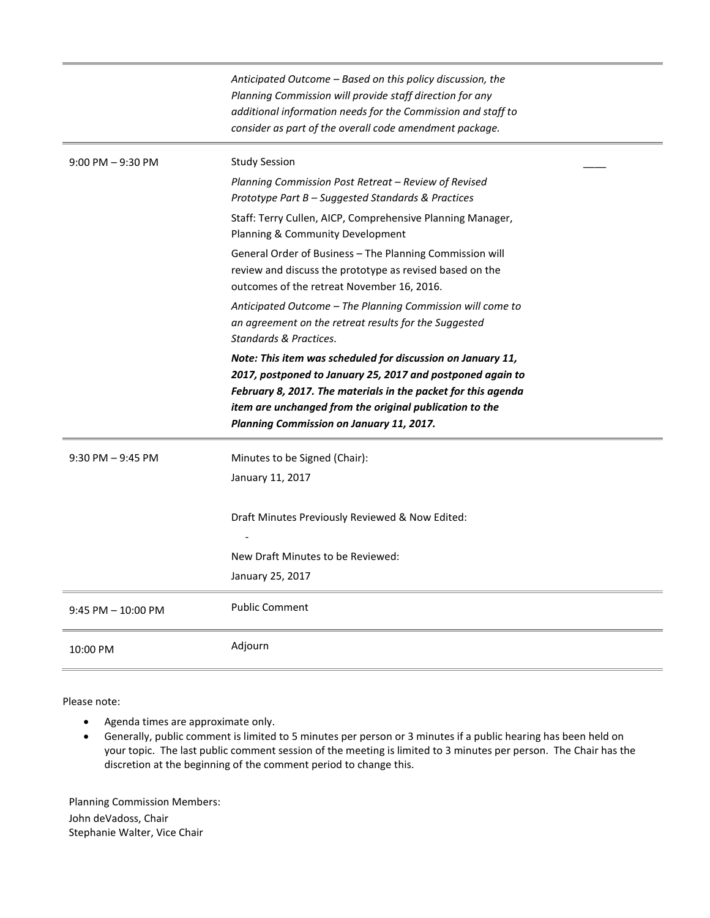|                       | Anticipated Outcome - Based on this policy discussion, the<br>Planning Commission will provide staff direction for any<br>additional information needs for the Commission and staff to<br>consider as part of the overall code amendment package.                                                 |
|-----------------------|---------------------------------------------------------------------------------------------------------------------------------------------------------------------------------------------------------------------------------------------------------------------------------------------------|
| $9:00$ PM $-9:30$ PM  | <b>Study Session</b><br>Planning Commission Post Retreat - Review of Revised<br>Prototype Part B - Suggested Standards & Practices<br>Staff: Terry Cullen, AICP, Comprehensive Planning Manager,<br>Planning & Community Development<br>General Order of Business - The Planning Commission will  |
|                       | review and discuss the prototype as revised based on the<br>outcomes of the retreat November 16, 2016.<br>Anticipated Outcome - The Planning Commission will come to<br>an agreement on the retreat results for the Suggested<br>Standards & Practices.                                           |
|                       | Note: This item was scheduled for discussion on January 11,<br>2017, postponed to January 25, 2017 and postponed again to<br>February 8, 2017. The materials in the packet for this agenda<br>item are unchanged from the original publication to the<br>Planning Commission on January 11, 2017. |
| $9:30$ PM $-9:45$ PM  | Minutes to be Signed (Chair):<br>January 11, 2017                                                                                                                                                                                                                                                 |
|                       | Draft Minutes Previously Reviewed & Now Edited:<br>New Draft Minutes to be Reviewed:<br>January 25, 2017                                                                                                                                                                                          |
| $9:45$ PM $-10:00$ PM | <b>Public Comment</b>                                                                                                                                                                                                                                                                             |
| 10:00 PM              | Adjourn                                                                                                                                                                                                                                                                                           |

Please note:

- Agenda times are approximate only.
- Generally, public comment is limited to 5 minutes per person or 3 minutes if a public hearing has been held on your topic. The last public comment session of the meeting is limited to 3 minutes per person. The Chair has the discretion at the beginning of the comment period to change this.

Planning Commission Members: John deVadoss, Chair Stephanie Walter, Vice Chair